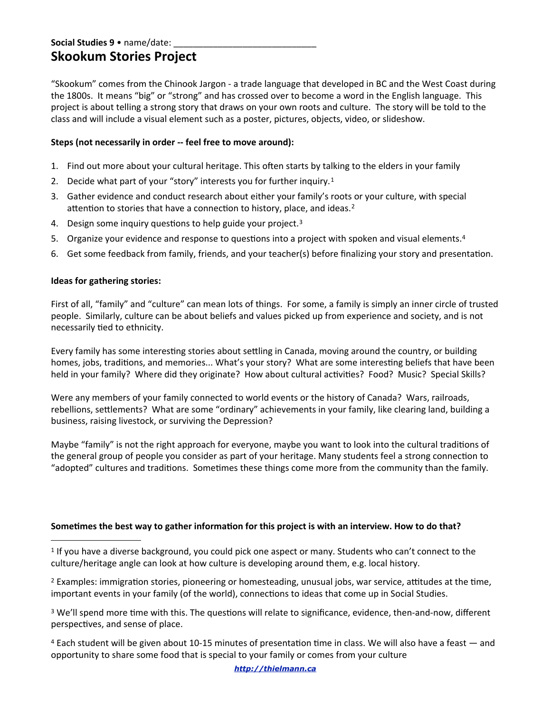# Social Studies 9 · name/date: **Skookum Stories Project**

"Skookum" comes from the Chinook Jargon - a trade language that developed in BC and the West Coast during the 1800s. It means "big" or "strong" and has crossed over to become a word in the English language. This project is about telling a strong story that draws on your own roots and culture. The story will be told to the class and will include a visual element such as a poster, pictures, objects, video, or slideshow.

## **Steps (not necessarily in order -- feel free to move around):**

- 1. Find out more about your cultural heritage. This often starts by talking to the elders in your family
- 2. Decide what part of your "story" interests you for further inquiry.<sup>[1](#page-0-0)</sup>
- 3. Gather evidence and conduct research about either your family's roots or your culture, with special attention to stories that have a connection to history, place, and ideas.<sup>[2](#page-0-1)</sup>
- 4. Design some inquiry questions to help guide your project.<sup>[3](#page-0-2)</sup>
- 5. Organize your evidence and response to questions into a project with spoken and visual elements.<sup>[4](#page-0-3)</sup>
- 6. Get some feedback from family, friends, and your teacher(s) before finalizing your story and presentation.

### **Ideas for gathering stories:**

First of all, "family" and "culture" can mean lots of things. For some, a family is simply an inner circle of trusted people. Similarly, culture can be about beliefs and values picked up from experience and society, and is not necessarily tied to ethnicity.

Every family has some interesting stories about settling in Canada, moving around the country, or building homes, jobs, traditions, and memories... What's your story? What are some interesting beliefs that have been held in your family? Where did they originate? How about cultural activities? Food? Music? Special Skills?

Were any members of your family connected to world events or the history of Canada? Wars, railroads, rebellions, settlements? What are some "ordinary" achievements in your family, like clearing land, building a business, raising livestock, or surviving the Depression?

Maybe "family" is not the right approach for everyone, maybe you want to look into the cultural traditions of the general group of people you consider as part of your heritage. Many students feel a strong connection to "adopted" cultures and traditions. Sometimes these things come more from the community than the family.

### Sometimes the best way to gather information for this project is with an interview. How to do that?

<span id="page-0-0"></span>1 If you have a diverse background, you could pick one aspect or many. Students who can't connect to the culture/heritage angle can look at how culture is developing around them, e.g. local history.

<span id="page-0-1"></span><sup>2</sup> Examples: immigration stories, pioneering or homesteading, unusual jobs, war service, attitudes at the time, important events in your family (of the world), connections to ideas that come up in Social Studies.

<span id="page-0-2"></span><sup>3</sup> We'll spend more time with this. The questions will relate to significance, evidence, then-and-now, different perspectives, and sense of place.

<span id="page-0-3"></span> $4$  Each student will be given about 10-15 minutes of presentation time in class. We will also have a feast  $-$  and opportunity to share some food that is special to your family or comes from your culture